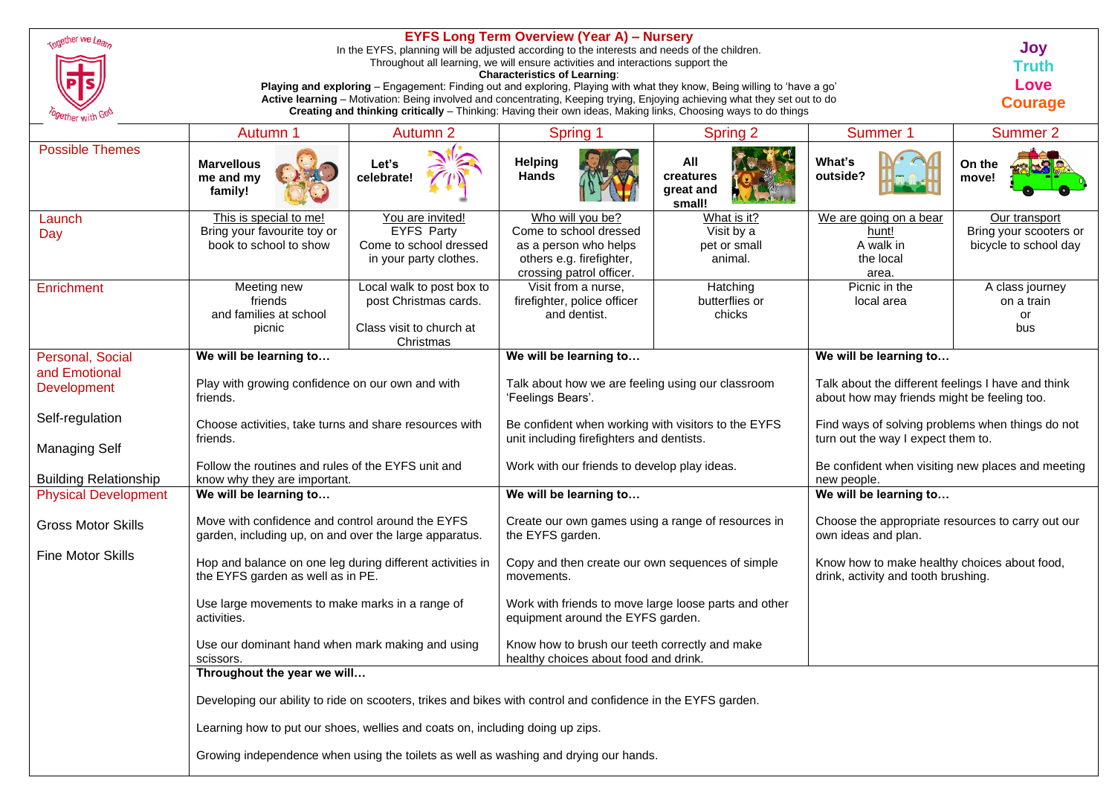| <b>Kogether</b> we Learn                | <b>EYFS Long Term Overview (Year A) - Nursery</b><br>Joy<br>In the EYFS, planning will be adjusted according to the interests and needs of the children.<br>Throughout all learning, we will ensure activities and interactions support the<br><b>Truth</b><br><b>Characteristics of Learning:</b><br>Love<br>Playing and exploring - Engagement: Finding out and exploring, Playing with what they know, Being willing to 'have a go'<br>Active learning - Motivation: Being involved and concentrating, Keeping trying, Enjoying achieving what they set out to do<br><b>Courage</b><br>Creating and thinking critically - Thinking: Having their own ideas, Making links, Choosing ways to do things |                                                                                             |                                                                                                                             |                                                      |                                                                                                   |                                                                  |  |
|-----------------------------------------|---------------------------------------------------------------------------------------------------------------------------------------------------------------------------------------------------------------------------------------------------------------------------------------------------------------------------------------------------------------------------------------------------------------------------------------------------------------------------------------------------------------------------------------------------------------------------------------------------------------------------------------------------------------------------------------------------------|---------------------------------------------------------------------------------------------|-----------------------------------------------------------------------------------------------------------------------------|------------------------------------------------------|---------------------------------------------------------------------------------------------------|------------------------------------------------------------------|--|
|                                         | Autumn 1                                                                                                                                                                                                                                                                                                                                                                                                                                                                                                                                                                                                                                                                                                | Autumn 2                                                                                    | Spring 1                                                                                                                    | Spring 2                                             | Summer 1                                                                                          | Summer 2                                                         |  |
| <b>Possible Themes</b>                  | <b>Marvellous</b><br>me and my<br>family!                                                                                                                                                                                                                                                                                                                                                                                                                                                                                                                                                                                                                                                               | Let's<br>celebrate!                                                                         | <b>Helping</b><br><b>Hands</b>                                                                                              | All<br>creatures<br>great and<br>small!              | What's<br>outside?                                                                                | On the<br>move!                                                  |  |
| Launch<br>Day                           | This is special to me!<br>Bring your favourite toy or<br>book to school to show                                                                                                                                                                                                                                                                                                                                                                                                                                                                                                                                                                                                                         | You are invited!<br>EYFS Party<br>Come to school dressed<br>in your party clothes.          | Who will you be?<br>Come to school dressed<br>as a person who helps<br>others e.g. firefighter,<br>crossing patrol officer. | What is it?<br>Visit by a<br>pet or small<br>animal. | We are going on a bear<br>hunt!<br>A walk in<br>the local<br>area.                                | Our transport<br>Bring your scooters or<br>bicycle to school day |  |
| Enrichment                              | Meeting new<br>friends<br>and families at school<br>picnic                                                                                                                                                                                                                                                                                                                                                                                                                                                                                                                                                                                                                                              | Local walk to post box to<br>post Christmas cards.<br>Class visit to church at<br>Christmas | Visit from a nurse,<br>firefighter, police officer<br>and dentist.                                                          | Hatching<br>butterflies or<br>chicks                 | Picnic in the<br>local area                                                                       | A class journey<br>on a train<br>or<br>bus                       |  |
| Personal, Social                        | We will be learning to                                                                                                                                                                                                                                                                                                                                                                                                                                                                                                                                                                                                                                                                                  |                                                                                             | We will be learning to                                                                                                      |                                                      | We will be learning to                                                                            |                                                                  |  |
| and Emotional<br>Development            | Play with growing confidence on our own and with<br>friends.                                                                                                                                                                                                                                                                                                                                                                                                                                                                                                                                                                                                                                            |                                                                                             | Talk about how we are feeling using our classroom<br>'Feelings Bears'.                                                      |                                                      | Talk about the different feelings I have and think<br>about how may friends might be feeling too. |                                                                  |  |
| Self-regulation<br><b>Managing Self</b> | Choose activities, take turns and share resources with<br>friends.                                                                                                                                                                                                                                                                                                                                                                                                                                                                                                                                                                                                                                      |                                                                                             | Be confident when working with visitors to the EYFS<br>unit including firefighters and dentists.                            |                                                      | Find ways of solving problems when things do not<br>turn out the way I expect them to.            |                                                                  |  |
| <b>Building Relationship</b>            | Follow the routines and rules of the EYFS unit and<br>know why they are important.                                                                                                                                                                                                                                                                                                                                                                                                                                                                                                                                                                                                                      |                                                                                             | Work with our friends to develop play ideas.                                                                                |                                                      | Be confident when visiting new places and meeting<br>new people.                                  |                                                                  |  |
| <b>Physical Development</b>             | We will be learning to                                                                                                                                                                                                                                                                                                                                                                                                                                                                                                                                                                                                                                                                                  |                                                                                             | We will be learning to                                                                                                      |                                                      | We will be learning to                                                                            |                                                                  |  |
| <b>Gross Motor Skills</b>               | Move with confidence and control around the EYFS<br>garden, including up, on and over the large apparatus.                                                                                                                                                                                                                                                                                                                                                                                                                                                                                                                                                                                              |                                                                                             | Create our own games using a range of resources in<br>the EYFS garden.                                                      |                                                      | Choose the appropriate resources to carry out our<br>own ideas and plan.                          |                                                                  |  |
| <b>Fine Motor Skills</b>                | Hop and balance on one leg during different activities in<br>the EYFS garden as well as in PE.                                                                                                                                                                                                                                                                                                                                                                                                                                                                                                                                                                                                          |                                                                                             | Copy and then create our own sequences of simple<br>movements.                                                              |                                                      | Know how to make healthy choices about food,<br>drink, activity and tooth brushing.               |                                                                  |  |
|                                         | Use large movements to make marks in a range of<br>activities.                                                                                                                                                                                                                                                                                                                                                                                                                                                                                                                                                                                                                                          |                                                                                             | Work with friends to move large loose parts and other<br>equipment around the EYFS garden.                                  |                                                      |                                                                                                   |                                                                  |  |
|                                         | Use our dominant hand when mark making and using<br>scissors.                                                                                                                                                                                                                                                                                                                                                                                                                                                                                                                                                                                                                                           |                                                                                             | Know how to brush our teeth correctly and make<br>healthy choices about food and drink.                                     |                                                      |                                                                                                   |                                                                  |  |
|                                         | Throughout the year we will                                                                                                                                                                                                                                                                                                                                                                                                                                                                                                                                                                                                                                                                             |                                                                                             |                                                                                                                             |                                                      |                                                                                                   |                                                                  |  |
|                                         | Developing our ability to ride on scooters, trikes and bikes with control and confidence in the EYFS garden.                                                                                                                                                                                                                                                                                                                                                                                                                                                                                                                                                                                            |                                                                                             |                                                                                                                             |                                                      |                                                                                                   |                                                                  |  |
|                                         | Learning how to put our shoes, wellies and coats on, including doing up zips.                                                                                                                                                                                                                                                                                                                                                                                                                                                                                                                                                                                                                           |                                                                                             |                                                                                                                             |                                                      |                                                                                                   |                                                                  |  |
|                                         | Growing independence when using the toilets as well as washing and drying our hands.                                                                                                                                                                                                                                                                                                                                                                                                                                                                                                                                                                                                                    |                                                                                             |                                                                                                                             |                                                      |                                                                                                   |                                                                  |  |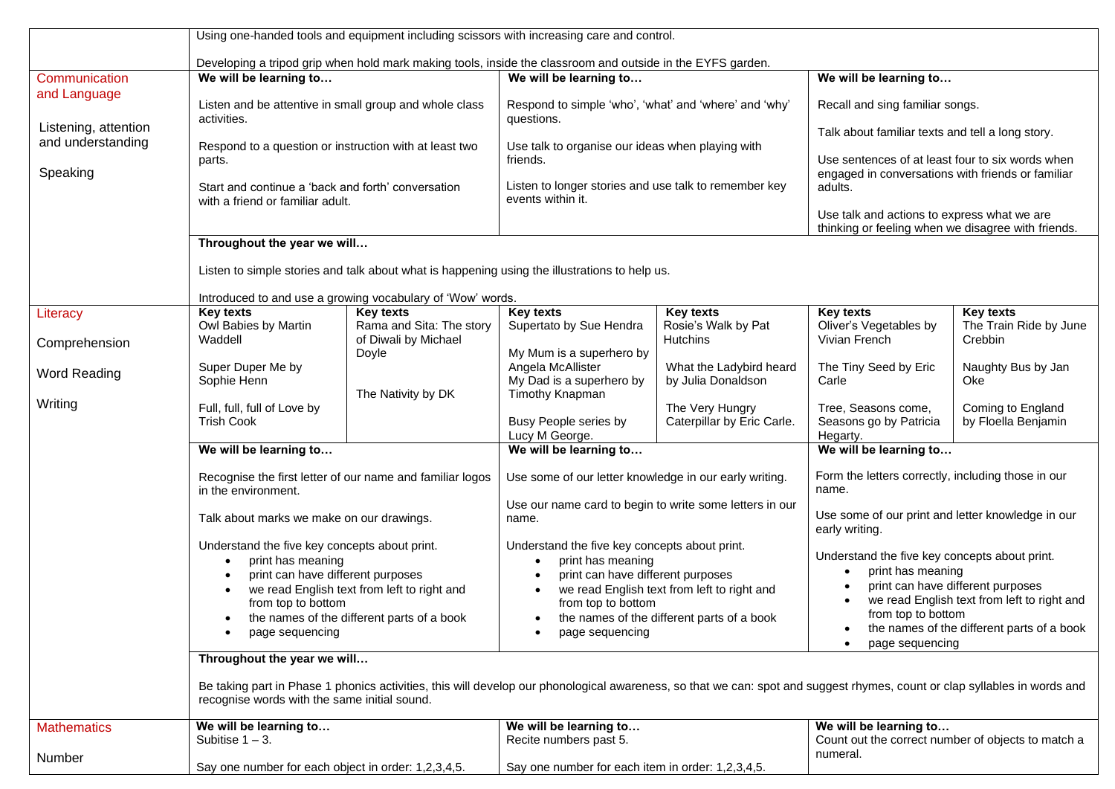|                      | Using one-handed tools and equipment including scissors with increasing care and control.                                                                                 |                                                            |                                                                                                                                                      |                                        |                                                                                                         |                                             |  |
|----------------------|---------------------------------------------------------------------------------------------------------------------------------------------------------------------------|------------------------------------------------------------|------------------------------------------------------------------------------------------------------------------------------------------------------|----------------------------------------|---------------------------------------------------------------------------------------------------------|---------------------------------------------|--|
|                      |                                                                                                                                                                           |                                                            |                                                                                                                                                      |                                        |                                                                                                         |                                             |  |
|                      | Developing a tripod grip when hold mark making tools, inside the classroom and outside in the EYFS garden.                                                                |                                                            |                                                                                                                                                      |                                        |                                                                                                         |                                             |  |
| Communication        | We will be learning to                                                                                                                                                    |                                                            | We will be learning to                                                                                                                               |                                        | We will be learning to                                                                                  |                                             |  |
| and Language         | Listen and be attentive in small group and whole class<br>activities.                                                                                                     |                                                            | Respond to simple 'who', 'what' and 'where' and 'why'<br>questions.                                                                                  |                                        | Recall and sing familiar songs.                                                                         |                                             |  |
| Listening, attention |                                                                                                                                                                           |                                                            |                                                                                                                                                      |                                        | Talk about familiar texts and tell a long story.                                                        |                                             |  |
| and understanding    | Respond to a question or instruction with at least two                                                                                                                    |                                                            | Use talk to organise our ideas when playing with                                                                                                     |                                        |                                                                                                         |                                             |  |
|                      | parts.                                                                                                                                                                    |                                                            | friends.                                                                                                                                             |                                        | Use sentences of at least four to six words when<br>engaged in conversations with friends or familiar   |                                             |  |
| Speaking             | Start and continue a 'back and forth' conversation<br>with a friend or familiar adult.                                                                                    |                                                            | Listen to longer stories and use talk to remember key<br>events within it.                                                                           |                                        | adults.                                                                                                 |                                             |  |
|                      |                                                                                                                                                                           |                                                            |                                                                                                                                                      |                                        |                                                                                                         |                                             |  |
|                      |                                                                                                                                                                           |                                                            |                                                                                                                                                      |                                        | Use talk and actions to express what we are<br>thinking or feeling when we disagree with friends.       |                                             |  |
|                      | Throughout the year we will                                                                                                                                               |                                                            |                                                                                                                                                      |                                        |                                                                                                         |                                             |  |
|                      | Listen to simple stories and talk about what is happening using the illustrations to help us.                                                                             |                                                            |                                                                                                                                                      |                                        |                                                                                                         |                                             |  |
|                      |                                                                                                                                                                           | Introduced to and use a growing vocabulary of 'Wow' words. |                                                                                                                                                      |                                        |                                                                                                         |                                             |  |
| Literacy             | <b>Key texts</b>                                                                                                                                                          | <b>Key texts</b>                                           | <b>Key texts</b>                                                                                                                                     | <b>Key texts</b>                       | <b>Key texts</b>                                                                                        | <b>Key texts</b>                            |  |
|                      | Owl Babies by Martin<br>Waddell                                                                                                                                           | Rama and Sita: The story<br>of Diwali by Michael           | Supertato by Sue Hendra                                                                                                                              | Rosie's Walk by Pat<br><b>Hutchins</b> | Oliver's Vegetables by<br>Vivian French                                                                 | The Train Ride by June<br>Crebbin           |  |
| Comprehension        |                                                                                                                                                                           | Doyle                                                      | My Mum is a superhero by                                                                                                                             |                                        |                                                                                                         |                                             |  |
| Word Reading         | Super Duper Me by                                                                                                                                                         |                                                            | Angela McAllister                                                                                                                                    | What the Ladybird heard                | The Tiny Seed by Eric                                                                                   | Naughty Bus by Jan                          |  |
|                      | Sophie Henn                                                                                                                                                               |                                                            | My Dad is a superhero by                                                                                                                             | by Julia Donaldson                     | Carle                                                                                                   | Oke                                         |  |
| Writing              | Full, full, full of Love by                                                                                                                                               | The Nativity by DK                                         | Timothy Knapman                                                                                                                                      | The Very Hungry                        | Tree, Seasons come,                                                                                     | Coming to England                           |  |
|                      | <b>Trish Cook</b>                                                                                                                                                         |                                                            | Busy People series by                                                                                                                                | Caterpillar by Eric Carle.             | Seasons go by Patricia                                                                                  | by Floella Benjamin                         |  |
|                      |                                                                                                                                                                           |                                                            | Lucy M George.                                                                                                                                       |                                        | Hegarty.                                                                                                |                                             |  |
|                      | We will be learning to<br>Recognise the first letter of our name and familiar logos<br>in the environment.                                                                |                                                            | We will be learning to<br>Use some of our letter knowledge in our early writing.                                                                     |                                        | We will be learning to                                                                                  |                                             |  |
|                      |                                                                                                                                                                           |                                                            |                                                                                                                                                      |                                        | Form the letters correctly, including those in our                                                      |                                             |  |
|                      |                                                                                                                                                                           |                                                            |                                                                                                                                                      |                                        | name.                                                                                                   |                                             |  |
|                      | Talk about marks we make on our drawings.                                                                                                                                 |                                                            | Use our name card to begin to write some letters in our<br>name.                                                                                     |                                        | Use some of our print and letter knowledge in our<br>early writing.                                     |                                             |  |
|                      |                                                                                                                                                                           |                                                            |                                                                                                                                                      |                                        |                                                                                                         |                                             |  |
|                      | Understand the five key concepts about print.                                                                                                                             |                                                            | Understand the five key concepts about print.                                                                                                        |                                        | Understand the five key concepts about print.<br>print has meaning<br>print can have different purposes |                                             |  |
|                      | print has meaning                                                                                                                                                         |                                                            | print has meaning<br>$\bullet$                                                                                                                       |                                        |                                                                                                         |                                             |  |
|                      | print can have different purposes                                                                                                                                         |                                                            | print can have different purposes<br>we read English text from left to right and<br>from top to bottom<br>the names of the different parts of a book |                                        |                                                                                                         |                                             |  |
|                      | we read English text from left to right and<br>from top to bottom                                                                                                         |                                                            |                                                                                                                                                      |                                        |                                                                                                         | we read English text from left to right and |  |
|                      | the names of the different parts of a book                                                                                                                                |                                                            |                                                                                                                                                      |                                        | from top to bottom                                                                                      |                                             |  |
|                      | page sequencing                                                                                                                                                           |                                                            | page sequencing                                                                                                                                      |                                        |                                                                                                         | the names of the different parts of a book  |  |
|                      | page sequencing<br>Throughout the year we will                                                                                                                            |                                                            |                                                                                                                                                      |                                        |                                                                                                         |                                             |  |
|                      |                                                                                                                                                                           |                                                            |                                                                                                                                                      |                                        |                                                                                                         |                                             |  |
|                      | Be taking part in Phase 1 phonics activities, this will develop our phonological awareness, so that we can: spot and suggest rhymes, count or clap syllables in words and |                                                            |                                                                                                                                                      |                                        |                                                                                                         |                                             |  |
|                      | recognise words with the same initial sound.                                                                                                                              |                                                            |                                                                                                                                                      |                                        |                                                                                                         |                                             |  |
| <b>Mathematics</b>   | We will be learning to                                                                                                                                                    |                                                            | We will be learning to                                                                                                                               |                                        | We will be learning to                                                                                  |                                             |  |
|                      | Subitise $1 - 3$ .                                                                                                                                                        |                                                            | Recite numbers past 5.                                                                                                                               |                                        | Count out the correct number of objects to match a                                                      |                                             |  |
| Number               |                                                                                                                                                                           |                                                            | Say one number for each item in order: 1,2,3,4,5.                                                                                                    |                                        | numeral.                                                                                                |                                             |  |
|                      | Say one number for each object in order: 1,2,3,4,5.                                                                                                                       |                                                            |                                                                                                                                                      |                                        |                                                                                                         |                                             |  |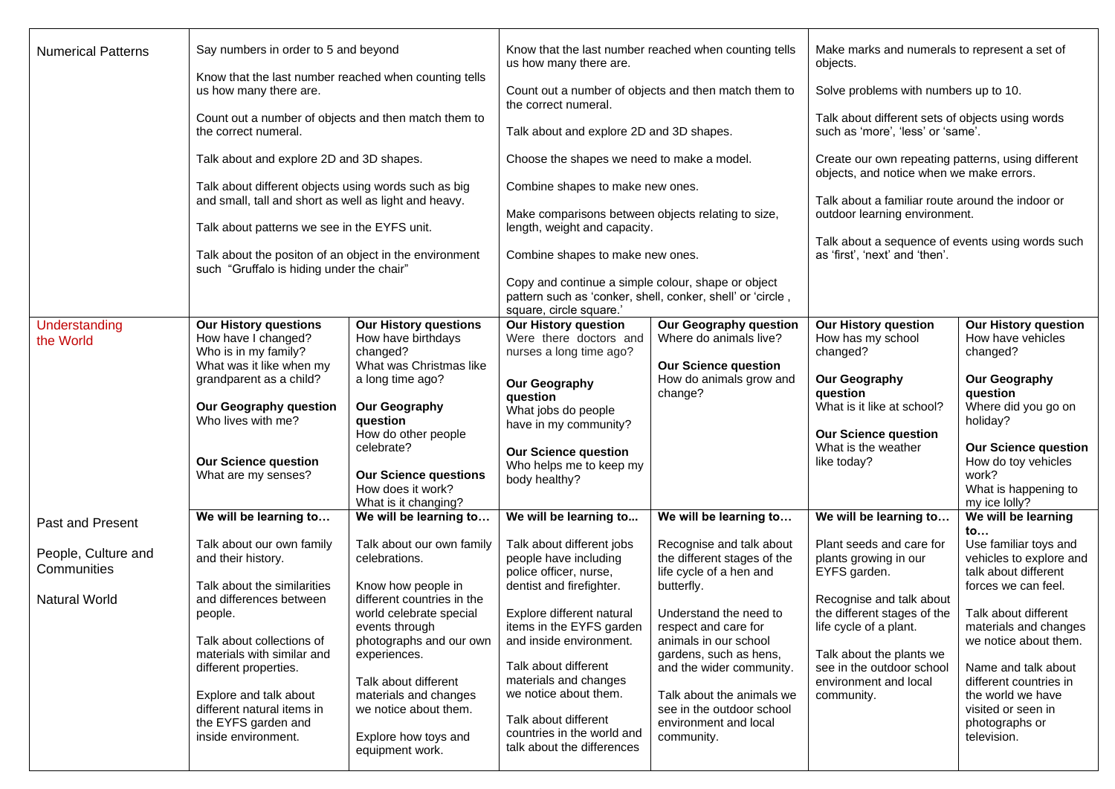| <b>Numerical Patterns</b>                                                      | Say numbers in order to 5 and beyond<br>Know that the last number reached when counting tells<br>us how many there are.<br>Count out a number of objects and then match them to<br>the correct numeral.<br>Talk about and explore 2D and 3D shapes.<br>Talk about different objects using words such as big<br>and small, tall and short as well as light and heavy.<br>Talk about patterns we see in the EYFS unit.<br>Talk about the positon of an object in the environment<br>such "Gruffalo is hiding under the chair" |                                                                                                                                                                                                                                                                                                                                                               | us how many there are.<br>the correct numeral.<br>Talk about and explore 2D and 3D shapes.<br>Choose the shapes we need to make a model.<br>Combine shapes to make new ones.<br>Make comparisons between objects relating to size,<br>length, weight and capacity.<br>Combine shapes to make new ones.<br>Copy and continue a simple colour, shape or object<br>pattern such as 'conker, shell, conker, shell' or 'circle, | Know that the last number reached when counting tells<br>Count out a number of objects and then match them to                                                                                                                                                                                                                                                | Make marks and numerals to represent a set of<br>objects.<br>Solve problems with numbers up to 10.<br>Talk about different sets of objects using words<br>such as 'more', 'less' or 'same'.<br>Create our own repeating patterns, using different<br>objects, and notice when we make errors.<br>Talk about a familiar route around the indoor or<br>outdoor learning environment.<br>Talk about a sequence of events using words such<br>as 'first', 'next' and 'then'. |                                                                                                                                                                                                                                                                                                                                                      |
|--------------------------------------------------------------------------------|-----------------------------------------------------------------------------------------------------------------------------------------------------------------------------------------------------------------------------------------------------------------------------------------------------------------------------------------------------------------------------------------------------------------------------------------------------------------------------------------------------------------------------|---------------------------------------------------------------------------------------------------------------------------------------------------------------------------------------------------------------------------------------------------------------------------------------------------------------------------------------------------------------|----------------------------------------------------------------------------------------------------------------------------------------------------------------------------------------------------------------------------------------------------------------------------------------------------------------------------------------------------------------------------------------------------------------------------|--------------------------------------------------------------------------------------------------------------------------------------------------------------------------------------------------------------------------------------------------------------------------------------------------------------------------------------------------------------|--------------------------------------------------------------------------------------------------------------------------------------------------------------------------------------------------------------------------------------------------------------------------------------------------------------------------------------------------------------------------------------------------------------------------------------------------------------------------|------------------------------------------------------------------------------------------------------------------------------------------------------------------------------------------------------------------------------------------------------------------------------------------------------------------------------------------------------|
| Understanding<br>the World                                                     | <b>Our History questions</b><br>How have I changed?<br>Who is in my family?<br>What was it like when my<br>grandparent as a child?<br><b>Our Geography question</b><br>Who lives with me?<br><b>Our Science question</b><br>What are my senses?                                                                                                                                                                                                                                                                             | <b>Our History questions</b><br>How have birthdays<br>changed?<br>What was Christmas like<br>a long time ago?<br><b>Our Geography</b><br>question<br>How do other people<br>celebrate?<br><b>Our Science questions</b><br>How does it work?                                                                                                                   | square, circle square.'<br><b>Our History question</b><br>Were there doctors and<br>nurses a long time ago?<br><b>Our Geography</b><br>question<br>What jobs do people<br>have in my community?<br><b>Our Science question</b><br>Who helps me to keep my<br>body healthy?                                                                                                                                                 | <b>Our Geography question</b><br>Where do animals live?<br><b>Our Science question</b><br>How do animals grow and<br>change?                                                                                                                                                                                                                                 | <b>Our History question</b><br>How has my school<br>changed?<br><b>Our Geography</b><br>question<br>What is it like at school?<br><b>Our Science question</b><br>What is the weather<br>like today?                                                                                                                                                                                                                                                                      | <b>Our History question</b><br>How have vehicles<br>changed?<br><b>Our Geography</b><br>question<br>Where did you go on<br>holiday?<br><b>Our Science question</b><br>How do toy vehicles<br>work?<br>What is happening to                                                                                                                           |
| Past and Present<br>People, Culture and<br>Communities<br><b>Natural World</b> | We will be learning to<br>Talk about our own family<br>and their history.<br>Talk about the similarities<br>and differences between<br>people.<br>Talk about collections of<br>materials with similar and<br>different properties.<br>Explore and talk about<br>different natural items in<br>the EYFS garden and<br>inside environment.                                                                                                                                                                                    | What is it changing?<br>We will be learning to<br>Talk about our own family<br>celebrations.<br>Know how people in<br>different countries in the<br>world celebrate special<br>events through<br>photographs and our own<br>experiences.<br>Talk about different<br>materials and changes<br>we notice about them.<br>Explore how toys and<br>equipment work. | We will be learning to<br>Talk about different jobs<br>people have including<br>police officer, nurse,<br>dentist and firefighter.<br>Explore different natural<br>items in the EYFS garden<br>and inside environment.<br>Talk about different<br>materials and changes<br>we notice about them.<br>Talk about different<br>countries in the world and<br>talk about the differences                                       | We will be learning to<br>Recognise and talk about<br>the different stages of the<br>life cycle of a hen and<br>butterfly.<br>Understand the need to<br>respect and care for<br>animals in our school<br>gardens, such as hens,<br>and the wider community.<br>Talk about the animals we<br>see in the outdoor school<br>environment and local<br>community. | We will be learning to<br>Plant seeds and care for<br>plants growing in our<br>EYFS garden.<br>Recognise and talk about<br>the different stages of the<br>life cycle of a plant.<br>Talk about the plants we<br>see in the outdoor school<br>environment and local<br>community.                                                                                                                                                                                         | my ice lolly?<br>We will be learning<br>to<br>Use familiar toys and<br>vehicles to explore and<br>talk about different<br>forces we can feel.<br>Talk about different<br>materials and changes<br>we notice about them.<br>Name and talk about<br>different countries in<br>the world we have<br>visited or seen in<br>photographs or<br>television. |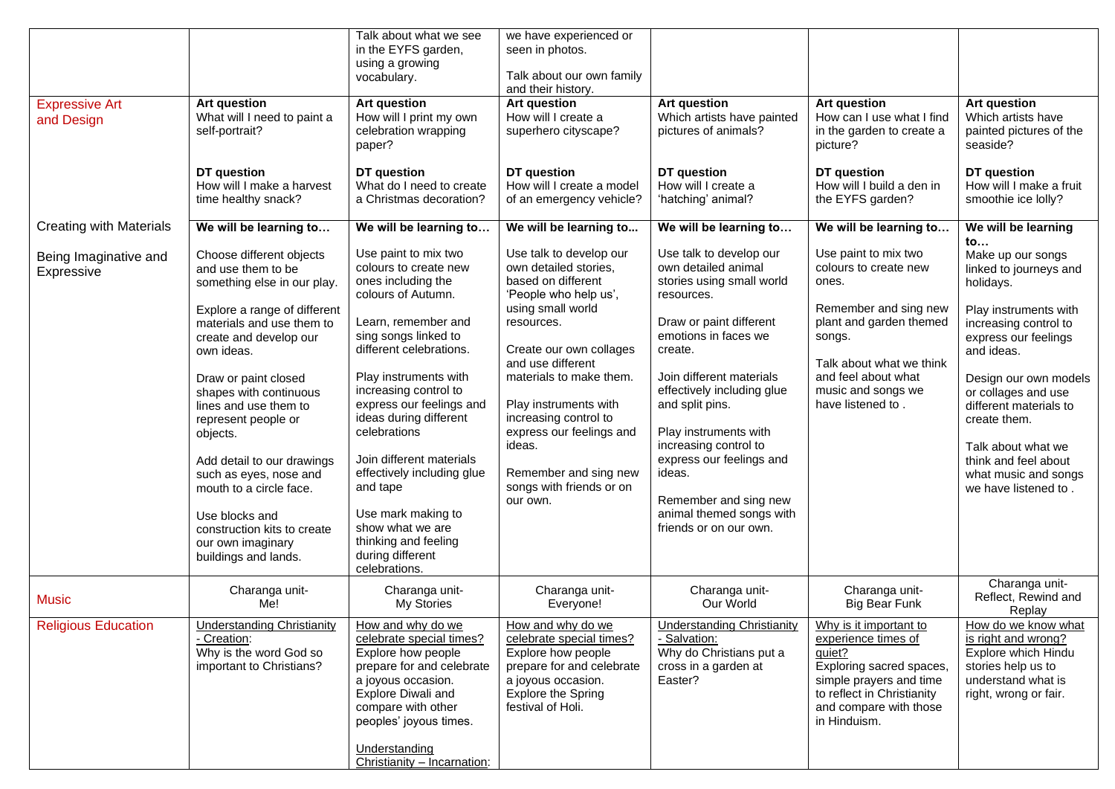|                                     |                                                                                                            | Talk about what we see<br>in the EYFS garden,<br>using a growing<br>vocabulary.                                                                                                                                                              | we have experienced or<br>seen in photos.<br>Talk about our own family<br>and their history.                                                                      |                                                                                                                        |                                                                                                                                                                                        |                                                                                                                                        |
|-------------------------------------|------------------------------------------------------------------------------------------------------------|----------------------------------------------------------------------------------------------------------------------------------------------------------------------------------------------------------------------------------------------|-------------------------------------------------------------------------------------------------------------------------------------------------------------------|------------------------------------------------------------------------------------------------------------------------|----------------------------------------------------------------------------------------------------------------------------------------------------------------------------------------|----------------------------------------------------------------------------------------------------------------------------------------|
| <b>Expressive Art</b><br>and Design | Art question<br>What will I need to paint a<br>self-portrait?                                              | <b>Art question</b><br>How will I print my own<br>celebration wrapping<br>paper?                                                                                                                                                             | Art question<br>How will I create a<br>superhero cityscape?                                                                                                       | <b>Art question</b><br>Which artists have painted<br>pictures of animals?                                              | <b>Art question</b><br>How can I use what I find<br>in the garden to create a<br>picture?                                                                                              | <b>Art question</b><br>Which artists have<br>painted pictures of the<br>seaside?                                                       |
|                                     | DT question<br>How will I make a harvest<br>time healthy snack?                                            | DT question<br>What do I need to create<br>a Christmas decoration?                                                                                                                                                                           | DT question<br>How will I create a model<br>of an emergency vehicle?                                                                                              | DT question<br>How will I create a<br>'hatching' animal?                                                               | DT question<br>How will I build a den in<br>the EYFS garden?                                                                                                                           | DT question<br>How will I make a fruit<br>smoothie ice lolly?                                                                          |
| <b>Creating with Materials</b>      | We will be learning to                                                                                     | We will be learning to                                                                                                                                                                                                                       | We will be learning to                                                                                                                                            | We will be learning to                                                                                                 | We will be learning to                                                                                                                                                                 | We will be learning                                                                                                                    |
| Being Imaginative and<br>Expressive | Choose different objects<br>and use them to be<br>something else in our play.                              | Use paint to mix two<br>colours to create new<br>ones including the<br>colours of Autumn.                                                                                                                                                    | Use talk to develop our<br>own detailed stories,<br>based on different<br>'People who help us',                                                                   | Use talk to develop our<br>own detailed animal<br>stories using small world<br>resources.                              | Use paint to mix two<br>colours to create new<br>ones.                                                                                                                                 | to<br>Make up our songs<br>linked to journeys and<br>holidays.                                                                         |
|                                     | Explore a range of different<br>materials and use them to<br>create and develop our<br>own ideas.          | Learn, remember and<br>sing songs linked to<br>different celebrations.                                                                                                                                                                       | using small world<br>resources.<br>Create our own collages<br>and use different                                                                                   | Draw or paint different<br>emotions in faces we<br>create.                                                             | Remember and sing new<br>plant and garden themed<br>songs.<br>Talk about what we think                                                                                                 | Play instruments with<br>increasing control to<br>express our feelings<br>and ideas.                                                   |
|                                     | Draw or paint closed<br>shapes with continuous<br>lines and use them to<br>represent people or<br>objects. | Play instruments with<br>increasing control to<br>express our feelings and<br>ideas during different<br>celebrations                                                                                                                         | materials to make them.<br>Play instruments with<br>increasing control to<br>express our feelings and                                                             | Join different materials<br>effectively including glue<br>and split pins.<br>Play instruments with                     | and feel about what<br>music and songs we<br>have listened to .                                                                                                                        | Design our own models<br>or collages and use<br>different materials to<br>create them.                                                 |
|                                     | Add detail to our drawings<br>such as eyes, nose and<br>mouth to a circle face.                            | Join different materials<br>effectively including glue<br>and tape                                                                                                                                                                           | ideas.<br>Remember and sing new<br>songs with friends or on                                                                                                       | increasing control to<br>express our feelings and<br>ideas.                                                            |                                                                                                                                                                                        | Talk about what we<br>think and feel about<br>what music and songs<br>we have listened to.                                             |
|                                     | Use blocks and<br>construction kits to create<br>our own imaginary<br>buildings and lands.                 | Use mark making to<br>show what we are<br>thinking and feeling<br>during different<br>celebrations.                                                                                                                                          | our own.                                                                                                                                                          | Remember and sing new<br>animal themed songs with<br>friends or on our own.                                            |                                                                                                                                                                                        |                                                                                                                                        |
| <b>Music</b>                        | Charanga unit-<br>Me!                                                                                      | Charanga unit-<br>My Stories                                                                                                                                                                                                                 | Charanga unit-<br>Everyone!                                                                                                                                       | Charanga unit-<br>Our World                                                                                            | Charanga unit-<br><b>Big Bear Funk</b>                                                                                                                                                 | Charanga unit-<br>Reflect, Rewind and<br>Replay                                                                                        |
| <b>Religious Education</b>          | <b>Understanding Christianity</b><br>- Creation:<br>Why is the word God so<br>important to Christians?     | How and why do we<br>celebrate special times?<br>Explore how people<br>prepare for and celebrate<br>a joyous occasion.<br>Explore Diwali and<br>compare with other<br>peoples' joyous times.<br>Understanding<br>Christianity - Incarnation: | How and why do we<br>celebrate special times?<br>Explore how people<br>prepare for and celebrate<br>a joyous occasion.<br>Explore the Spring<br>festival of Holi. | <b>Understanding Christianity</b><br><u>- Salvation:</u><br>Why do Christians put a<br>cross in a garden at<br>Easter? | Why is it important to<br>experience times of<br>quiet?<br>Exploring sacred spaces,<br>simple prayers and time<br>to reflect in Christianity<br>and compare with those<br>in Hinduism. | How do we know what<br>is right and wrong?<br>Explore which Hindu<br>stories help us to<br>understand what is<br>right, wrong or fair. |